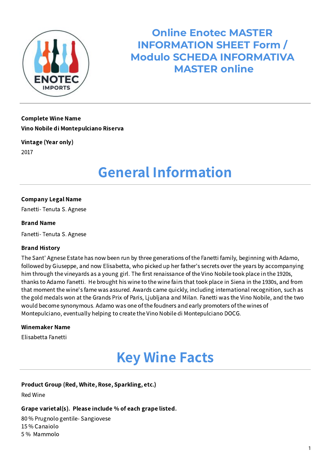

**Online Enotec MASTER INFORMATION SHEET Form / Modulo SCHEDA INFORMATIVA MASTER online**

Complete Wine Name Vino Nobile di Montepulciano Riserva

Vintage (Year only) 2017

# General Information

### Company Legal Name

Fanetti- Tenuta S. Agnese

### Brand Name

Fanetti- Tenuta S. Agnese

### Brand History

The Sant' Agnese Estate has now been run by three generations of the Fanetti family, beginning with Adamo, followed by Giuseppe, and now Elisabetta, who picked up her father's secrets over the years by accompanying him through the vineyards as a young girl. The first renaissance of the Vino Nobile took place in the 1920s, thanks to Adamo Fanetti. He brought his wine to the wine fairs that took place in Siena in the 1930s, and from that moment the wine's fame was assured. Awards came quickly, including international recognition, such as the gold medals won at the Grands Prix of Paris, Ljubljana and Milan. Fanetti was the Vino Nobile, and the two would become synonymous. Adamo was one of the foudners and early promoters of the wines of Montepulciano, eventually helping to create the Vino Nobile di Montepulciano DOCG.

#### Winemaker Name

Elisabetta Fanetti

# Key Wine Facts

### Product Group (Red, White, Rose, Sparkling, etc.)

Red Wine

### Grape varietal(s). Please include % of each grape listed.

80 % Prugnolo gentile- Sangiovese 15 % Canaiolo 5 % Mammolo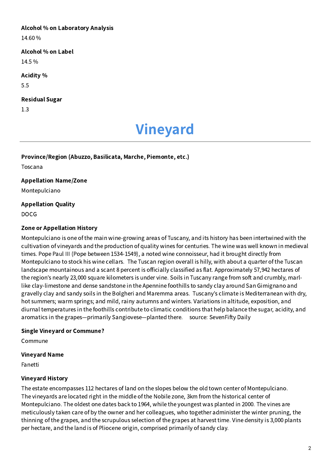### Alcohol % on Laboratory Analysis

14.60 %

# Alcohol % on Label

14.5 %

# Acidity %

5.5

# Residual Sugar

1.3

# Vineyard

### Province/Region (Abuzzo, Basilicata, Marche, Piemonte, etc.)

Toscana

# Appellation Name/Zone

Montepulciano

# Appellation Quality

DOCG

# Zone or Appellation History

Montepulciano is one of the main wine-growing areas of Tuscany, and its history has been intertwined with the cultivation of vineyards and the production of quality wines for centuries. The wine was well known in medieval times. Pope Paul III (Pope between 1534-1549), a noted wine connoisseur, had it brought directly from Montepulciano to stock his wine cellars. The Tuscan region overall is hilly, with about a quarter of the Tuscan landscape mountainous and a scant 8 percent is officially classified as flat. Approximately 57,942 hectares of the region's nearly 23,000 square kilometers is under vine. Soils in Tuscany range from soft and crumbly, marllike clay-limestone and dense sandstone in the Apennine foothills to sandy clay around San Gimignano and gravelly clay and sandy soils in the Bolgheri and Maremma areas. Tuscany's climate is Mediterranean with dry, hot summers; warm springs; and mild, rainy autumns and winters. Variations in altitude, exposition, and diurnal temperatures in the foothills contribute to climatic conditions that help balance the sugar, acidity, and aromatics in the grapes—primarily Sangiovese—planted there. source: SevenFifty Daily

# Single Vineyard or Commune?

Commune

### Vineyard Name

Fanetti

# Vineyard History

The estate encompasses 112 hectares of land on the slopes below the old town center of Montepulciano. The vineyards are located right in the middle of the Nobile zone, 3km from the historical center of Montepulciano. The oldest one dates back to 1964, while the youngest was planted in 2000. The vines are meticulously taken care of by the owner and her colleagues, who together administer the winter pruning, the thinning of the grapes, and the scrupulous selection of the grapes at harvest time. Vine density is 3,000 plants per hectare, and the land is of Pliocene origin, comprised primarily of sandy clay.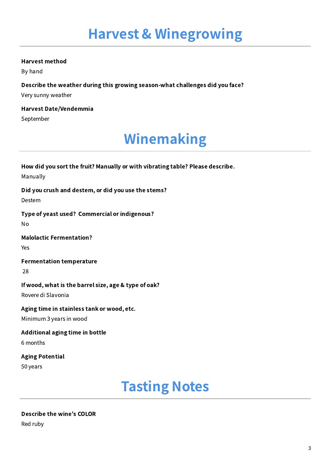### Harvest method

By hand

Describe the weather during this growing season-what challenges did you face?

Very sunny weather

Harvest Date/Vendemmia September

# Winemaking

| How did you sort the fruit? Manually or with vibrating table? Please describe.<br>Manually |
|--------------------------------------------------------------------------------------------|
| Did you crush and destem, or did you use the stems?<br>Destem                              |
| Type of yeast used? Commercial or indigenous?<br>No                                        |
| <b>Malolactic Fermentation?</b><br>Yes                                                     |
| <b>Fermentation temperature</b><br>28                                                      |
| If wood, what is the barrel size, age & type of oak?<br>Rovere di Slavonia                 |
| Aging time in stainless tank or wood, etc.<br>Minimum 3 years in wood                      |
| Additional aging time in bottle<br>6 months                                                |
| <b>Aging Potential</b><br>50 years                                                         |

# Tasting Notes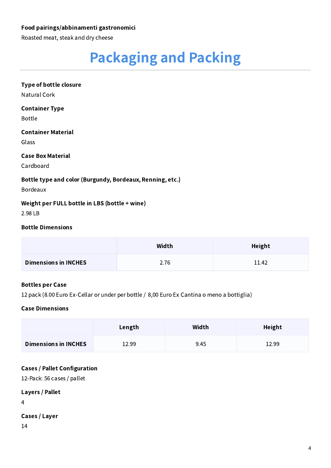### Food pairings/abbinamenti gastronomici

Roasted meat, steak and dry cheese

# Packaging and Packing

# Type of bottle closure

Natural Cork

### Container Type

Bottle

### Container Material

Glass

### Case Box Material

Cardboard

### Bottle type and color (Burgundy, Bordeaux, Renning, etc.)

Bordeaux

### Weight per FULL bottle in LBS (bottle + wine)

2.98 LB

### Bottle Dimensions

|                             | Width | Height |
|-----------------------------|-------|--------|
| <b>Dimensions in INCHES</b> | 2.76  | 11.42  |

### Bottles per Case

12 pack (8.00 Euro Ex-Cellar or under per bottle / 8,00 Euro Ex Cantina o meno a bottiglia)

### Case Dimensions

|                             | Length | Width | Height |
|-----------------------------|--------|-------|--------|
| <b>Dimensions in INCHES</b> | 12.99  | 9.45  | 12.99  |

### Cases / Pallet Configuration

12-Pack: 56 cases / pallet

# Layers / Pallet

4

# Cases / Layer

14